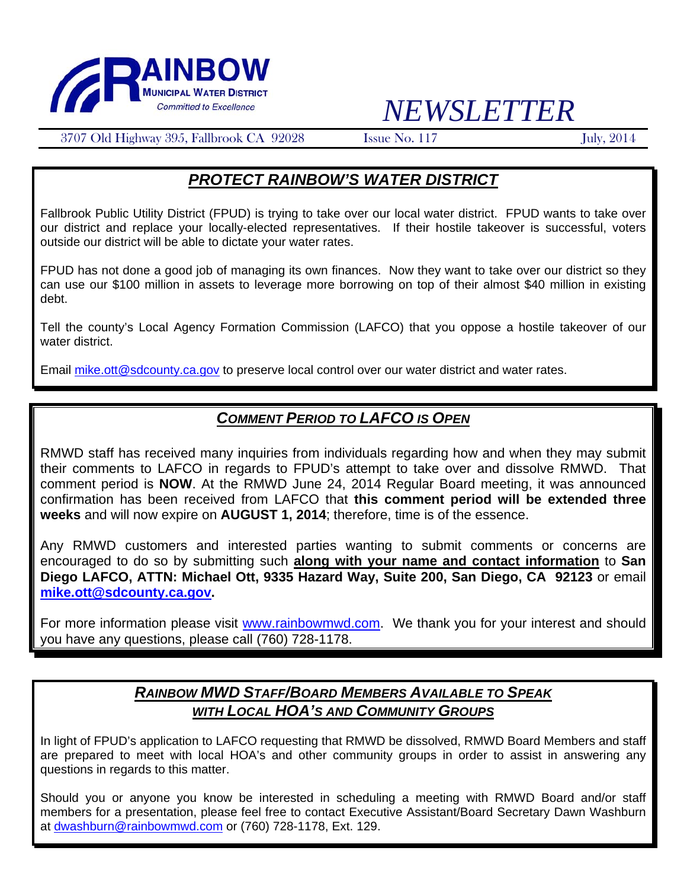

# *NEWSLETTER*

3707 Old Highway 395, Fallbrook CA 92028 Issue No. 117 July, 2014

## *PROTECT RAINBOW'S WATER DISTRICT*

Fallbrook Public Utility District (FPUD) is trying to take over our local water district. FPUD wants to take over our district and replace your locally-elected representatives. If their hostile takeover is successful, voters outside our district will be able to dictate your water rates.

FPUD has not done a good job of managing its own finances. Now they want to take over our district so they can use our \$100 million in assets to leverage more borrowing on top of their almost \$40 million in existing debt.

Tell the county's Local Agency Formation Commission (LAFCO) that you oppose a hostile takeover of our water district.

Email mike.ott@sdcounty.ca.gov to preserve local control over our water district and water rates.

## *COMMENT PERIOD TO LAFCO IS OPEN*

RMWD staff has received many inquiries from individuals regarding how and when they may submit their comments to LAFCO in regards to FPUD's attempt to take over and dissolve RMWD. That comment period is **NOW**. At the RMWD June 24, 2014 Regular Board meeting, it was announced confirmation has been received from LAFCO that **this comment period will be extended three weeks** and will now expire on **AUGUST 1, 2014**; therefore, time is of the essence.

Any RMWD customers and interested parties wanting to submit comments or concerns are encouraged to do so by submitting such **along with your name and contact information** to **San Diego LAFCO, ATTN: Michael Ott, 9335 Hazard Way, Suite 200, San Diego, CA 92123** or email **mike.ott@sdcounty.ca.gov.** 

For more information please visit www.rainbowmwd.com. We thank you for your interest and should you have any questions, please call (760) 728-1178.

### *RAINBOW MWD STAFF/BOARD MEMBERS AVAILABLE TO SPEAK WITH LOCAL HOA'S AND COMMUNITY GROUPS*

In light of FPUD's application to LAFCO requesting that RMWD be dissolved, RMWD Board Members and staff are prepared to meet with local HOA's and other community groups in order to assist in answering any questions in regards to this matter.

Should you or anyone you know be interested in scheduling a meeting with RMWD Board and/or staff members for a presentation, please feel free to contact Executive Assistant/Board Secretary Dawn Washburn at dwashburn@rainbowmwd.com or (760) 728-1178, Ext. 129.